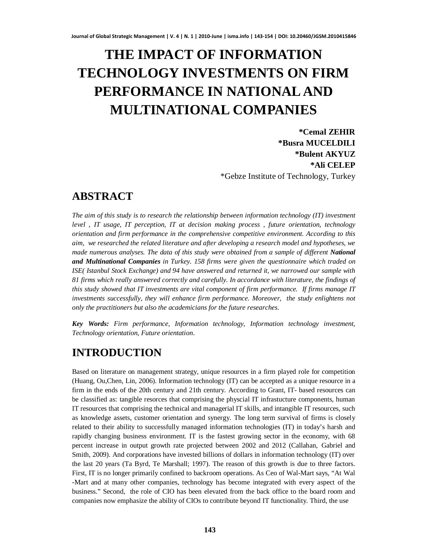# **THE IMPACT OF INFORMATION TECHNOLOGY INVESTMENTS ON FIRM PERFORMANCE IN NATIONAL AND MULTINATIONAL COMPANIES**

**\*Cemal ZEHIR \*Busra MUCELDILI \*Bulent AKYUZ \*Ali CELEP** \*Gebze Institute of Technology, Turkey

## **ABSTRACT**

*The aim of this study is to research the relationship between information technology (IT) investment level , IT usage, IT perception, IT at decision making process , future orientation, technology orientation and firm performance in the comprehensive competitive environment. According to this aim, we researched the related literature and after developing a research model and hypotheses, we made numerous analyses. The data of this study were obtained from a sample of different National and Multinational Companies in Turkey. 158 firms were given the questionnaire which traded on ISE( Istanbul Stock Exchange) and 94 have answered and returned it, we narrowed our sample with 81 firms which really answered correctly and carefully. In accordance with literature, the findings of this study showed that IT investments are vital component of firm performance. If firms manage IT investments successfully, they will enhance firm performance. Moreover, the study enlightens not only the practitioners but also the academicians for the future researches.*

*Key Words: Firm performance, Information technology, Information technology investment, Technology orientation, Future orientation.*

# **INTRODUCTION**

Based on literature on management strategy, unique resources in a firm played role for competition (Huang, Ou,Chen, Lin, 2006). Information technology (IT) can be accepted as a unique resource in a firm in the ends of the 20th century and 21th century. According to Grant, IT- based resources can be classified as: tangible resorces that comprising the physcial IT infrastucture components, human IT resources that comprising the technical and managerial IT skills, and intangible IT resources, such as knowledge assets, customer orientation and synergy. The long term survival of firms is closely related to their ability to successfully managed information technologies (IT) in today's harsh and rapidly changing business environment. IT is the fastest growing sector in the economy, with 68 percent increase in output growth rate projected between 2002 and 2012 (Callahan, Gabriel and Smith, 2009). And corporations have invested billions of dollars in information technology (IT) over the last 20 years (Ta Byrd, Te Marshall; 1997). The reason of this growth is due to three factors. First, IT is no longer primarily confined to backroom operations. As Ceo of Wal-Mart says, "At Wal -Mart and at many other companies, technology has become integrated with every aspect of the business." Second, the role of CIO has been elevated from the back office to the board room and companies now emphasize the ability of CIOs to contribute beyond IT functionality. Third, the use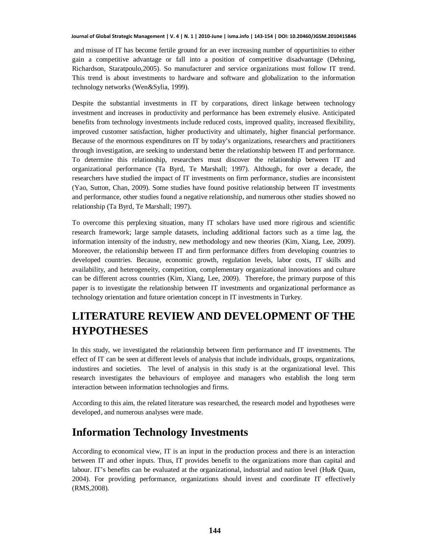and misuse of IT has become fertile ground for an ever increasing number of oppurtinities to either gain a competitive advantage or fall into a position of competitive disadvantage (Dehning, Richardson, Staratpoulo,2005). So manufacturer and service organizations must follow IT trend. This trend is about investments to hardware and software and globalization to the information technology networks (Wen&Sylia, 1999).

Despite the substantial investments in IT by corparations, direct linkage between technology investment and increases in productivity and performance has been extremely elusive. Anticipated benefits from technology investments include reduced costs, improved quality, increased flexibility, improved customer satisfaction, higher productivity and ultimately, higher financial performance. Because of the enormous expenditures on IT by today's organizations, researchers and practitioners through investigation, are seeking to understand better the relationship between IT and performance. To determine this relationship, researchers must discover the relationship between IT and organizational performance (Ta Byrd, Te Marshall; 1997). Although, for over a decade, the researchers have studied the impact of IT investments on firm performance, studies are inconsistent (Yao, Sutton, Chan, 2009). Some studies have found positive relationship between IT investments and performance, other studies found a negative relationship, and numerous other studies showed no relationship (Ta Byrd, Te Marshall; 1997).

To overcome this perplexing situation, many IT scholars have used more rigirous and scientific research framework; large sample datasets, including additional factors such as a time lag, the information intensity of the industry, new methodology and new theories (Kim, Xiang, Lee, 2009). Moreover, the relationship between IT and firm performance differs from developing countries to developed countries. Because, economic growth, regulation levels, labor costs, IT skills and availability, and heterogeneity, competition, complementary organizational innovations and culture can be different across countries (Kim, Xiang, Lee, 2009). Therefore, the primary purpose of this paper is to investigate the relationship between IT investments and organizational performance as technology orientation and future orientation concept in IT investments in Turkey.

# **LITERATURE REVIEW AND DEVELOPMENT OF THE HYPOTHESES**

In this study, we investigated the relationship between firm performance and IT investments. The effect of IT can be seen at different levels of analysis that include individuals, groups, organizations, industires and societies. The level of analysis in this study is at the organizational level. This research investigates the behaviours of employee and managers who establish the long term interaction between information technologies and firms.

According to this aim, the related literature was researched, the research model and hypotheses were developed, and numerous analyses were made.

## **Information Technology Investments**

According to economical view, IT is an input in the production process and there is an interaction between IT and other inputs. Thus, IT provides benefit to the organizations more than capital and labour. IT's benefits can be evaluated at the organizational, industrial and nation level (Hu& Quan, 2004). For providing performance, organizations should invest and coordinate IT effectively (RMS,2008).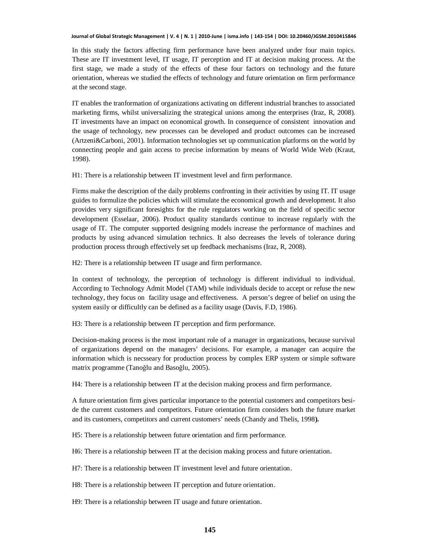In this study the factors affecting firm performance have been analyzed under four main topics. These are IT investment level, IT usage, IT perception and IT at decision making process. At the first stage, we made a study of the effects of these four factors on technology and the future orientation, whereas we studied the effects of technology and future orientation on firm performance at the second stage.

IT enables the tranformation of organizations activating on different industrial branches to associated marketing firms, whilst universalizing the strategical unions among the enterprises (Iraz, R, 2008). IT investments have an impact on economical growth. In consequence of consistent innovation and the usage of technology, new processes can be developed and product outcomes can be increased (Artzeni&Carboni, 2001). Information technologies set up communication platforms on the world by connecting people and gain access to precise information by means of World Wide Web (Kraut, 1998).

H1: There is a relationship between IT investment level and firm performance.

Firms make the description of the daily problems confronting in their activities by using IT. IT usage guides to formulize the policies which will stimulate the economical growth and development. It also provides very significant foresights for the rule regulators working on the field of specific sector development (Esselaar, 2006). Product quality standards continue to increase regularly with the usage of IT. The computer supported designing models increase the performance of machines and products by using advanced simulation technics. It also decreases the levels of tolerance during production process through effectively set up feedback mechanisms (Iraz, R, 2008).

H2: There is a relationship between IT usage and firm performance.

In context of technology, the perception of technology is different individual to individual. According to Technology Admit Model (TAM) while individuals decide to accept or refuse the new technology, they focus on facility usage and effectiveness. A person's degree of belief on using the system easily or difficultly can be defined as a facility usage (Davis, F.D, 1986).

H3: There is a relationship between IT perception and firm performance.

Decision-making process is the most important role of a manager in organizations, because survival of organizations depend on the managers' decisions. For example, a manager can acquire the information which is necsseary for production process by complex ERP system or simple software matrix programme (Tanoğlu and Basoğlu, 2005).

H4: There is a relationship between IT at the decision making process and firm performance.

A future orientation firm gives particular importance to the potential customers and competitors beside the current customers and competitors. Future orientation firm considers both the future market and its customers, competitors and current customers' needs (Chandy and Thelis, 1998**).**

H5: There is a relationship between future orientation and firm performance.

H6: There is a relationship between IT at the decision making process and future orientation.

H7: There is a relationship between IT investment level and future orientation.

H8: There is a relationship between IT perception and future orientation.

H9: There is a relationship between IT usage and future orientation.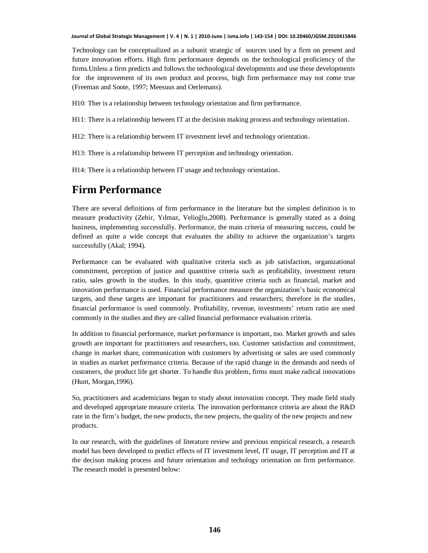Technology can be conceptualized as a subunit strategic of sources used by a firm on present and future innovation efforts. High firm performance depends on the technological proficiency of the firms.Unless a firm predicts and follows the technological developments and use these developments for the improvement of its own product and process, high firm performance may not come true (Freeman and Soote, 1997; Meesuus and Oerlemans).

H10: Ther is a relationship between technology orientation and firm performance.

H11: There is a relationship between IT at the decision making process and technology orientation.

H12: There is a relationship between IT investment level and technology orientation.

H13: There is a relationship between IT perception and technology orientation.

H14: There is a relationship between IT usage and technology orientation.

## **Firm Performance**

There are several definitions of firm performance in the literature but the simplest definition is to measure productivity (Zehir, Yılmaz, Velioğlu,2008). Performance is generally stated as a doing business, implementing successfully. Performance, the main criteria of measuring success, could be defined as quite a wide concept that evaluates the ability to achieve the organization's targets successfully (Akal; 1994).

Performance can be evaluated with qualitative criteria such as job satisfaction, organizational commitment, perception of justice and quantitive criteria such as profitability, investment return ratio, sales growth in the studies. In this study, quantitive criteria such as financial, market and innovation performance is used. Financial performance measure the organization's basic economical targets, and these targets are important for practitioners and researchers; therefore in the studies, financial performance is used commonly. Profitability, revenue, investments' return ratio are used commonly in the studies and they are called financial performance evaluation criteria.

In addition to financial performance, market performance is important, too. Market growth and sales growth are important for practitioners and researchers, too. Customer satisfaction and commitment, change in market share, communication with customers by advertising or sales are used commonly in studies as market performance criteria. Because of the rapid change in the demands and needs of customers, the product life get shorter. To handle this problem, firms must make radical innovations (Hunt, Morgan,1996).

So, practitioners and academicians began to study about innovation concept. They made field study and developed appropriate measure criteria. The innovation performance criteria are about the R&D rate in the firm's budget, the new products, the new projects, the quality of the new projects and new products.

In our research, with the guidelines of literature review and previous empirical research, a research model has been developed to predict effects of IT investment level, IT usage, IT perception and IT at the decison making process and future orientation and techology orientation on firm performance. The research model is presented below: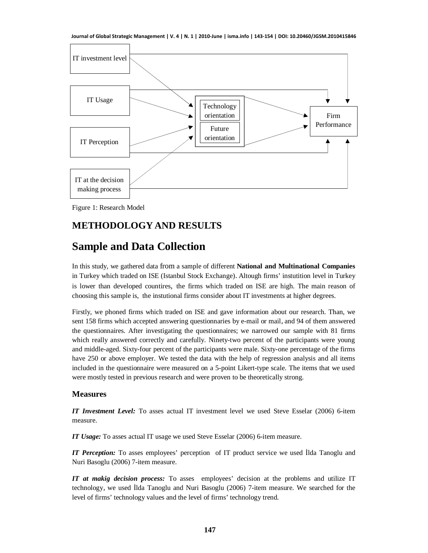**Journal of Global Strategic Management | V. 4 | N. 1 | 2010-June | isma.info | 143-154 | DOI: 10.20460/JGSM.2010415846**



Figure 1: Research Model

## **METHODOLOGY AND RESULTS**

# **Sample and Data Collection**

In this study, we gathered data from a sample of different **National and Multinational Companies** in Turkey which traded on ISE (Istanbul Stock Exchange). Altough firms' instutition level in Turkey is lower than developed countires, the firms which traded on ISE are high. The main reason of choosing this sample is, the instutional firms consider about IT investments at higher degrees.

Firstly, we phoned firms which traded on ISE and gave information about our research. Than, we sent 158 firms which accepted answering questionnaries by e-mail or mail, and 94 of them answered the questionnaires. After investigating the questionnaires; we narrowed our sample with 81 firms which really answered correctly and carefully. Ninety-two percent of the participants were young and middle-aged. Sixty-four percent of the participants were male. Sixty-one percentage of the firms have 250 or above employer. We tested the data with the help of regression analysis and all items included in the questionnaire were measured on a 5-point Likert-type scale. The items that we used were mostly tested in previous research and were proven to be theoretically strong.

### **Measures**

*IT Investment Level:* To asses actual IT investment level we used Steve Esselar (2006) 6-item measure.

*IT Usage:* To asses actual IT usage we used Steve Esselar (2006) 6-item measure.

*IT Perception:* To asses employees' perception of IT product service we used Ilda Tanoglu and Nuri Basoglu (2006) 7-item measure.

*IT at makig decision process:* To asses employees' decision at the problems and utilize IT technology, we used Ilda Tanoglu and Nuri Basoglu (2006) 7-item measure. We searched for the level of firms' technology values and the level of firms' technology trend.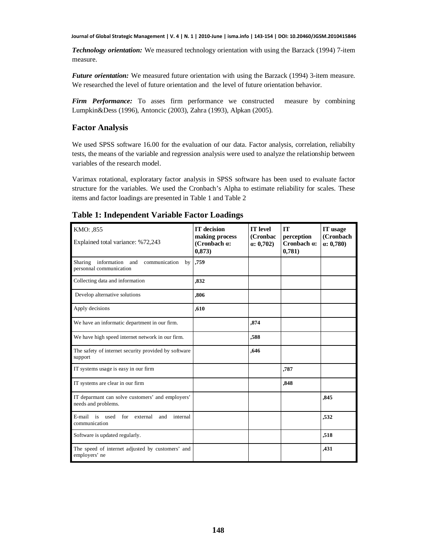*Technology orientation:* We measured technology orientation with using the Barzack (1994) 7-item measure.

*Future orientation:* We measured future orientation with using the Barzack (1994) 3-item measure. We researched the level of future orientation and the level of future orientation behavior.

*Firm Performance:* To asses firm performance we constructed measure by combining Lumpkin&Dess (1996), Antoncic (2003), Zahra (1993), Alpkan (2005).

### **Factor Analysis**

We used SPSS software 16.00 for the evaluation of our data. Factor analysis, correlation, reliabilty tests, the means of the variable and regression analysis were used to analyze the relationship between variables of the research model.

Varimax rotational, exploratary factor analysis in SPSS software has been used to evaluate factor structure for the variables. We used the Cronbach's Alpha to estimate reliability for scales. These items and factor loadings are presented in Table 1 and Table 2

| KMO: ,855                                                                       | <b>IT</b> decision<br>making process | <b>IT</b> level<br>(Cronbac | IT<br>perception      | IT usage<br>(Cronbach |
|---------------------------------------------------------------------------------|--------------------------------------|-----------------------------|-----------------------|-----------------------|
| Explained total variance: %72,243                                               | (Cronbach a:<br>0,873)               | $\alpha$ : 0,702)           | Cronbach a:<br>0,781) | $\alpha$ : 0,780)     |
| information<br>Sharing<br>and<br>communication<br>by<br>personnal communication | ,759                                 |                             |                       |                       |
| Collecting data and information                                                 | .832                                 |                             |                       |                       |
| Develop alternative solutions                                                   | ,806                                 |                             |                       |                       |
| Apply decisions                                                                 | ,610                                 |                             |                       |                       |
| We have an informatic department in our firm.                                   |                                      | .874                        |                       |                       |
| We have high speed internet network in our firm.                                |                                      | ,588                        |                       |                       |
| The safety of internet security provided by software<br>support                 |                                      | ,646                        |                       |                       |
| IT systems usage is easy in our firm                                            |                                      |                             | ,787                  |                       |
| IT systems are clear in our firm                                                |                                      |                             | ,848                  |                       |
| IT deparmant can solve customers' and employers'<br>needs and problems.         |                                      |                             |                       | .845                  |
| E-mail is used<br>for<br>external<br>and<br>internal<br>communication           |                                      |                             |                       | ,532                  |
| Software is updated regularly.                                                  |                                      |                             |                       | ,518                  |
| The speed of internet adjusted by customers' and<br>employers' ne               |                                      |                             |                       | .431                  |

### **Table 1: Independent Variable Factor Loadings**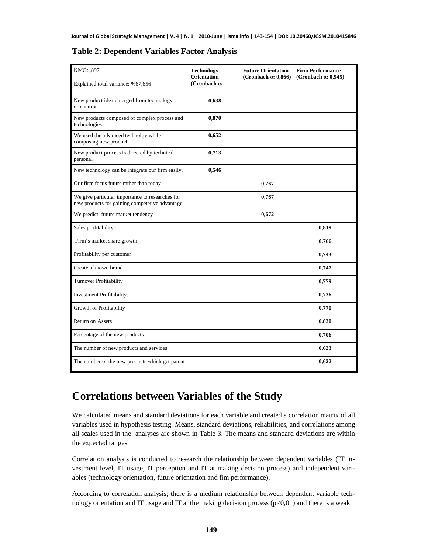| KMO: ,897                                                                                          | <b>Technology</b><br><b>Orientation</b> | <b>Future Orientation</b><br>(Cronbach $\alpha$ : 0,866) | <b>Firm Performance</b><br>(Cronbach $\alpha$ : 0,945) |
|----------------------------------------------------------------------------------------------------|-----------------------------------------|----------------------------------------------------------|--------------------------------------------------------|
| Explained total variance: %67,656                                                                  | (Cronbach a:                            |                                                          |                                                        |
| New product idea emerged from technology<br>orientation                                            | 0,638                                   |                                                          |                                                        |
| New products composed of complex process and<br>technologies                                       | 0,870                                   |                                                          |                                                        |
| We used the advanced technolgy while<br>composing new product                                      | 0,652                                   |                                                          |                                                        |
| New product process is directed by technical<br>personal                                           | 0,713                                   |                                                          |                                                        |
| New technology can be integrate our firm easily.                                                   | 0,546                                   |                                                          |                                                        |
| Our firm focus future rather than today                                                            |                                         | 0,767                                                    |                                                        |
| We give particular importance to researches for<br>new products for gaining competetive advantage. |                                         | 0,767                                                    |                                                        |
| We predict future market tendency                                                                  |                                         | 0,672                                                    |                                                        |
| Sales profitability                                                                                |                                         |                                                          | 0,819                                                  |
| Firm's market share growth                                                                         |                                         |                                                          | 0,766                                                  |
| Profitability per customer                                                                         |                                         |                                                          | 0,743                                                  |
| Create a known brand                                                                               |                                         |                                                          | 0,747                                                  |
| Turnover Profitability                                                                             |                                         |                                                          | 0,779                                                  |
| Investment Profitability.                                                                          |                                         |                                                          | 0,736                                                  |
| Growth of Profitability                                                                            |                                         |                                                          | 0,770                                                  |
| <b>Return on Assets</b>                                                                            |                                         |                                                          | 0,830                                                  |
| Percentage of the new products                                                                     |                                         |                                                          | 0,706                                                  |
| The number of new products and services                                                            |                                         |                                                          | 0,623                                                  |
| The number of the new products which get patent                                                    |                                         |                                                          | 0,622                                                  |

### **Table 2: Dependent Variables Factor Analysis**

## **Correlations between Variables of the Study**

We calculated means and standard deviations for each variable and created a correlation matrix of all variables used in hypothesis testing. Means, standard deviations, reliabilities, and correlations among all scales used in the analyses are shown in Table 3. The means and standard deviations are within the expected ranges.

Correlation analysis is conducted to research the relationship between dependent variables (IT investment level, IT usage, IT perception and IT at making decision process) and independent variables (technology orientation, future orientation and fim performance).

According to correlation analysis; there is a medium relationship between dependent variable technology orientation and IT usage and IT at the making decision process  $(p<0,01)$  and there is a weak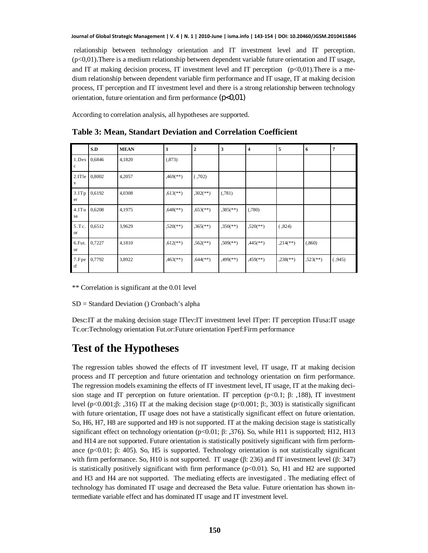relationship between technology orientation and IT investment level and IT perception. (p<0,01).There is a medium relationship between dependent variable future orientation and IT usage, and IT at making decision process, IT investment level and IT perception  $(p<0,01)$ . There is a medium relationship between dependent variable firm performance and IT usage, IT at making decision process, IT perception and IT investment level and there is a strong relationship between technology orientation, future orientation and firm performance  $(p<0.01)$ 

According to correlation analysis, all hypotheses are supported.

|                      | S.D    | <b>MEAN</b> | 1                      | $\mathbf 2$              | 3                        | $\overline{4}$         | 5                      | 6                      | 7      |
|----------------------|--------|-------------|------------------------|--------------------------|--------------------------|------------------------|------------------------|------------------------|--------|
| 1.Des<br>$\mathbf c$ | 0,6846 | 4,1820      | (.873)                 |                          |                          |                        |                        |                        |        |
| 2.ITle<br>V          | 0,8002 | 4,2057      | $,469$ <sup>**</sup> ) | (.702)                   |                          |                        |                        |                        |        |
| 3.ITp<br>er          | 0,6192 | 4,0308      | $,613$ <sup>**</sup> ) | $,302$ <sup>**</sup> )   | (.781)                   |                        |                        |                        |        |
| 4.ITu<br>sa          | 0,6208 | 4,1975      | $,648$ <sup>**</sup> ) | $,653$ <sup>**</sup> )   | $,385$ <sup>(**)</sup> ) | (.780)                 |                        |                        |        |
| 5.Tc.<br><b>or</b>   | 0,6512 | 3,9629      | $,520$ <sup>**</sup> ) | $,365$ <sup>(**)</sup> ) | $,350$ <sup>(**)</sup> ) | $,520$ <sup>**</sup> ) | (.824)                 |                        |        |
| 6.Fut.<br><b>or</b>  | 0,7227 | 4,1810      | $,612$ <sup>**</sup> ) | $,562$ <sup>**</sup> )   | $,509$ <sup>**</sup> )   | $,445$ <sup>**</sup> ) | $,214$ <sup>**</sup> ) | (.860)                 |        |
| 7.Fpe<br>$^{\rm rf}$ | 0,7792 | 3,8922      | $,463$ <sup>**</sup> ) | $,644$ <sup>(**)</sup> ) | $,499$ <sup>(**)</sup> ) | $,459$ <sup>**</sup> ) | $,238$ <sup>**</sup> ) | $,523$ <sup>**</sup> ) | (.945) |

**Table 3: Mean, Standart Deviation and Correlation Coefficient**

\*\* Correlation is significant at the 0.01 level

SD = Standard Deviation () Cronbach's alpha

Desc:IT at the making decision stage ITlev:IT investment level ITper: IT perception ITusa:IT usage Tc.or:Technology orientation Fut.or:Future orientation Fperf:Firm performance

# **Test of the Hypotheses**

The regression tables showed the effects of IT investment level, IT usage, IT at making decision process and IT perception and future orientation and technology orientation on firm performance. The regression models examining the effects of IT investment level, IT usage, IT at the making decision stage and IT perception on future orientation. IT perception  $(p<0.1; \beta: .188)$ , IT investment level (p<0.001; $\beta$ : ,316) IT at the making decision stage (p<0.001;  $\beta$ :, 303) is statistically significant with future orientation, IT usage does not have a statistically significant effect on future orientation. So, H6, H7, H8 are supported and H9 is not supported. IT at the making decision stage is statistically significant effect on technology orientation (p<0.01;  $\beta$ : ,376). So, while H11 is supported; H12, H13 and H14 are not supported. Future orientation is statistically positively significant with firm performance (p $<0.01$ ;  $\beta$ : 405). So, H5 is supported. Technology orientation is not statistically significant with firm performance. So, H10 is not supported. IT usage  $(\beta: 236)$  and IT investment level  $(\beta: 347)$ is statistically positively significant with firm performance  $(p<0.01)$ . So, H1 and H2 are supported and H3 and H4 are not supported. The mediating effects are investigated . The mediating effect of technology has dominated IT usage and decreased the Beta value. Future orientation has shown intermediate variable effect and has dominated IT usage and IT investment level.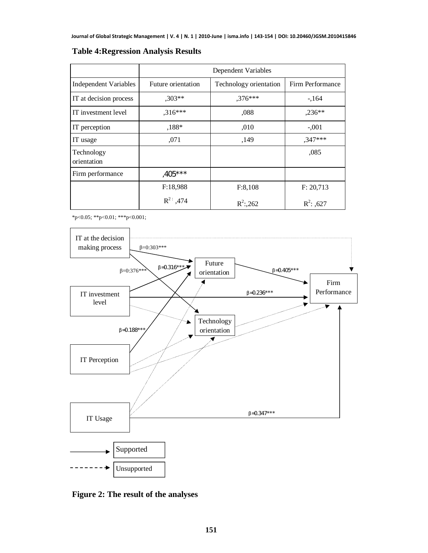|                           | Dependent Variables |                        |                  |  |  |  |
|---------------------------|---------------------|------------------------|------------------|--|--|--|
| Independent Variables     | Future orientation  | Technology orientation | Firm Performance |  |  |  |
| IT at decision process    | $,303**$            | $,376***$              | $-164$           |  |  |  |
| IT investment level       | $,316***$           | ,088                   | $,236**$         |  |  |  |
| IT perception             | $,188*$             | ,010                   | $-.001$          |  |  |  |
| IT usage                  | ,071                | ,149                   | ,347***          |  |  |  |
| Technology<br>orientation |                     |                        | ,085             |  |  |  |
| Firm performance          | $,405***$           |                        |                  |  |  |  |
|                           | F:18,988            | F:8,108                | F: 20,713        |  |  |  |
|                           | $R^2$ ; 474         | $R^2$ :,262            | $R^2$ : ,627     |  |  |  |

### **Table 4:Regression Analysis Results**

\*p<0.05; \*\*p<0.01; \*\*\*p<0.001;



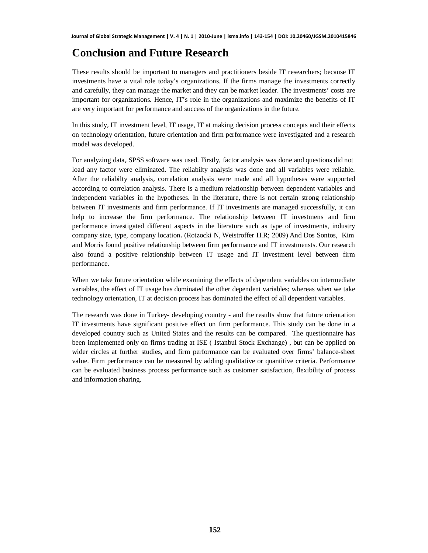## **Conclusion and Future Research**

These results should be important to managers and practitioners beside IT researchers; because IT investments have a vital role today's organizations. If the firms manage the investments correctly and carefully, they can manage the market and they can be market leader. The investments' costs are important for organizations. Hence, IT's role in the organizations and maximize the benefits of IT are very important for performance and success of the organizations in the future.

In this study, IT investment level, IT usage, IT at making decision process concepts and their effects on technology orientation, future orientation and firm performance were investigated and a research model was developed.

For analyzing data, SPSS software was used. Firstly, factor analysis was done and questions did not load any factor were eliminated. The reliabilty analysis was done and all variables were reliable. After the reliabilty analysis, correlation analysis were made and all hypotheses were supported according to correlation analysis. There is a medium relationship between dependent variables and independent variables in the hypotheses. In the literature, there is not certain strong relationship between IT investments and firm performance. If IT investments are managed successfully, it can help to increase the firm performance. The relationship between IT investmens and firm performance investigated different aspects in the literature such as type of investments, industry company size, type, company location. (Rotzocki N, Weistroffer H.R; 2009) And Dos Sontos, Kim and Morris found positive relationship between firm performance and IT investmensts. Our research also found a positive relationship between IT usage and IT investment level between firm performance.

When we take future orientation while examining the effects of dependent variables on intermediate variables, the effect of IT usage has dominated the other dependent variables; whereas when we take technology orientation, IT at decision process has dominated the effect of all dependent variables.

The research was done in Turkey- developing country - and the results show that future orientation IT investments have significant positive effect on firm performance. This study can be done in a developed country such as United States and the results can be compared. The questionnaire has been implemented only on firms trading at ISE ( Istanbul Stock Exchange) , but can be applied on wider circles at further studies, and firm performance can be evaluated over firms' balance-sheet value. Firm performance can be measured by adding qualitative or quantitive criteria. Performance can be evaluated business process performance such as customer satisfaction, flexibility of process and information sharing.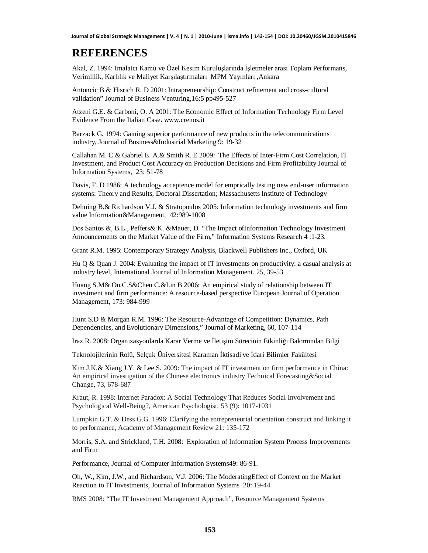## **REFERENCES**

Akal, Z. 1994: Imalatcı Kamu ve Özel Kesim Kuruluşlarında İsletmeler arası Toplam Performans, Verimlilik, Karlılık ve Maliyet Karşılaştırmaları MPM Yayınları ,Ankara

Antoncic B & Hisrich R. D 2001: Intrapreneurship: Construct refinement and cross-cultural validation" Journal of Business Venturing,16:5 pp495-527

Atzeni G.E. & Carboni, O. A 2001: The Economic Effect of Information Technology Firm Level Evidence From the Italian Case**.** [www.crenos.it](http://www.crenos.it/)

Barzack G. 1994: Gaining superior performance of new products in the telecommunications industry, Journal of Business&Industrial Marketing 9: 19-32

Callahan M. C.& Gabriel E. A.& Smith R. E 2009: The Effects of Inter-Firm Cost Correlation, IT Investment, and Product Cost Accuracy on Production Decisions and Firm Profitability Journal of Information Systems, 23: 51-78

Davis, F. D 1986: A technology acceptence model for emprically testing new end-user information systems: Theory and Results, Doctoral Dissertation; Massachusetts Institute of Technology

Dehning B.& Richardson V.J. & Stratopoulos 2005: Information technology investments and firm value Information&Management, 42:989-1008

Dos Santos &, B.L., Peffers& K. &Mauer, D. "The Impact ofInformation Technology Investment Announcements on the Market Value of the Firm," Information Systems Research 4 :1-23.

Grant R.M. 1995: Contemporary Strategy Analysis, Blackwell Publishers Inc., Oxford, UK

Hu Q & Quan J. 2004: Evaluating the impact of IT investments on productivity: a casual analysis at industry level, International Journal of Information Management. 25, 39-53

Huang S.M& Ou.C.S&Chen C.&Lin B 2006: An empirical study of relationship between IT investment and firm performance: A resource-based perspective European Journal of Operation Management, 173: 984-999

Hunt S.D & Morgan R.M. 1996: The Resource-Advantage of Competition: Dynamics, Path Dependencies, and Evolutionary Dimensions," Journal of Marketing, 60, 107-114

Iraz R. 2008: Organizasyonlarda Karar Verme ve İletişim Sürecinin Etkinliği Bakımından Bilgi

Teknolojilerinin Rolü, Selçuk Üniversitesi Karaman İktisadi ve İdari Bilimler Fakültesi

Kim J.K.& Xiang J.Y. & Lee S. 2009: The impact of IT investment on firm performance in China: An empirical investigation of the Chinese electronics industry Technical Forecasting&Social Change, 73, 678-687

Kraut, R. 1998: Internet Paradox: A Social Technology That Reduces Social Involvement and Psychological Well-Being?, American Psychologist, 53 (9): 1017-1031

Lumpkin G.T. & Dess G.G. 1996: Clarifying the entrepreneurial orientation construct and linking it to performance, Academy of Management Review 21: 135-172

Morris, S.A. and Strickland, T.H. 2008: Exploration of Information System Process Improvements and Firm

Performance, Journal of Computer Information Systems49: 86-91.

Oh, W., Kim, J.W., and Richardson, V.J. 2006: The ModeratingEffect of Context on the Market Reaction to IT Investments, Journal of Information Systems 20:.19-44.

RMS 2008: "The IT Investment Management Approach", Resource Management Systems